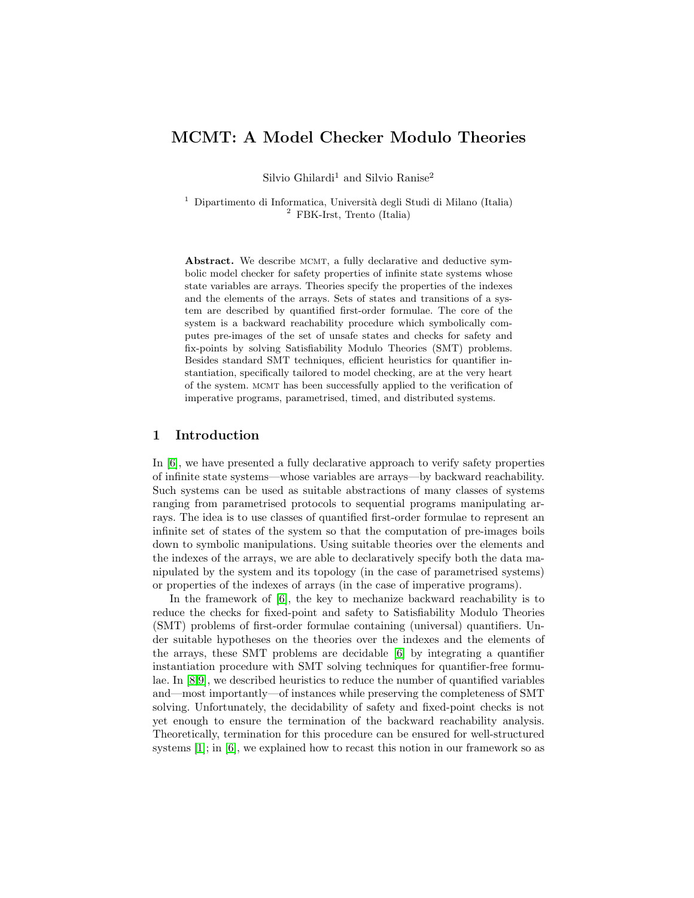# MCMT: A Model Checker Modulo Theories

Silvio Ghilardi<sup>1</sup> and Silvio Ranise<sup>2</sup>

<sup>1</sup> Dipartimento di Informatica, Università degli Studi di Milano (Italia) <sup>2</sup> FBK-Irst, Trento (Italia)

Abstract. We describe MCMT, a fully declarative and deductive symbolic model checker for safety properties of infinite state systems whose state variables are arrays. Theories specify the properties of the indexes and the elements of the arrays. Sets of states and transitions of a system are described by quantified first-order formulae. The core of the system is a backward reachability procedure which symbolically computes pre-images of the set of unsafe states and checks for safety and fix-points by solving Satisfiability Modulo Theories (SMT) problems. Besides standard SMT techniques, efficient heuristics for quantifier instantiation, specifically tailored to model checking, are at the very heart of the system. mcmt has been successfully applied to the verification of imperative programs, parametrised, timed, and distributed systems.

## 1 Introduction

In [\[6\]](#page-7-0), we have presented a fully declarative approach to verify safety properties of infinite state systems—whose variables are arrays—by backward reachability. Such systems can be used as suitable abstractions of many classes of systems ranging from parametrised protocols to sequential programs manipulating arrays. The idea is to use classes of quantified first-order formulae to represent an infinite set of states of the system so that the computation of pre-images boils down to symbolic manipulations. Using suitable theories over the elements and the indexes of the arrays, we are able to declaratively specify both the data manipulated by the system and its topology (in the case of parametrised systems) or properties of the indexes of arrays (in the case of imperative programs).

In the framework of [\[6\]](#page-7-0), the key to mechanize backward reachability is to reduce the checks for fixed-point and safety to Satisfiability Modulo Theories (SMT) problems of first-order formulae containing (universal) quantifiers. Under suitable hypotheses on the theories over the indexes and the elements of the arrays, these SMT problems are decidable [\[6\]](#page-7-0) by integrating a quantifier instantiation procedure with SMT solving techniques for quantifier-free formulae. In [\[8](#page-7-1)[,9\]](#page-7-2), we described heuristics to reduce the number of quantified variables and—most importantly—of instances while preserving the completeness of SMT solving. Unfortunately, the decidability of safety and fixed-point checks is not yet enough to ensure the termination of the backward reachability analysis. Theoretically, termination for this procedure can be ensured for well-structured systems [\[1\]](#page-7-3); in [\[6\]](#page-7-0), we explained how to recast this notion in our framework so as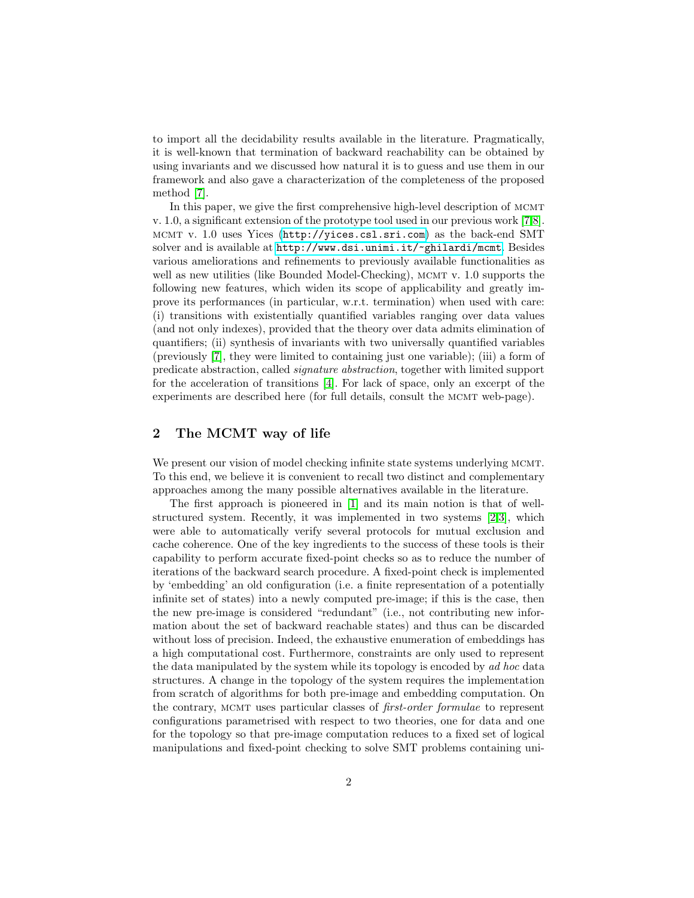to import all the decidability results available in the literature. Pragmatically, it is well-known that termination of backward reachability can be obtained by using invariants and we discussed how natural it is to guess and use them in our framework and also gave a characterization of the completeness of the proposed method [\[7\]](#page-7-4).

In this paper, we give the first comprehensive high-level description of MCMT v. 1.0, a significant extension of the prototype tool used in our previous work [\[7](#page-7-4)[,8\]](#page-7-1). mcmt v. 1.0 uses Yices (<http://yices.csl.sri.com>) as the back-end SMT solver and is available at <http://www.dsi.unimi.it/~ghilardi/mcmt>. Besides various ameliorations and refinements to previously available functionalities as well as new utilities (like Bounded Model-Checking), MCMT v. 1.0 supports the following new features, which widen its scope of applicability and greatly improve its performances (in particular, w.r.t. termination) when used with care: (i) transitions with existentially quantified variables ranging over data values (and not only indexes), provided that the theory over data admits elimination of quantifiers; (ii) synthesis of invariants with two universally quantified variables (previously [\[7\]](#page-7-4), they were limited to containing just one variable); (iii) a form of predicate abstraction, called signature abstraction, together with limited support for the acceleration of transitions [\[4\]](#page-7-5). For lack of space, only an excerpt of the experiments are described here (for full details, consult the MCMT web-page).

# 2 The MCMT way of life

We present our vision of model checking infinite state systems underlying MCMT. To this end, we believe it is convenient to recall two distinct and complementary approaches among the many possible alternatives available in the literature.

The first approach is pioneered in [\[1\]](#page-7-3) and its main notion is that of wellstructured system. Recently, it was implemented in two systems [\[2](#page-7-6)[,3\]](#page-7-7), which were able to automatically verify several protocols for mutual exclusion and cache coherence. One of the key ingredients to the success of these tools is their capability to perform accurate fixed-point checks so as to reduce the number of iterations of the backward search procedure. A fixed-point check is implemented by 'embedding' an old configuration (i.e. a finite representation of a potentially infinite set of states) into a newly computed pre-image; if this is the case, then the new pre-image is considered "redundant" (i.e., not contributing new information about the set of backward reachable states) and thus can be discarded without loss of precision. Indeed, the exhaustive enumeration of embeddings has a high computational cost. Furthermore, constraints are only used to represent the data manipulated by the system while its topology is encoded by ad hoc data structures. A change in the topology of the system requires the implementation from scratch of algorithms for both pre-image and embedding computation. On the contrary, MCMT uses particular classes of *first-order formulae* to represent configurations parametrised with respect to two theories, one for data and one for the topology so that pre-image computation reduces to a fixed set of logical manipulations and fixed-point checking to solve SMT problems containing uni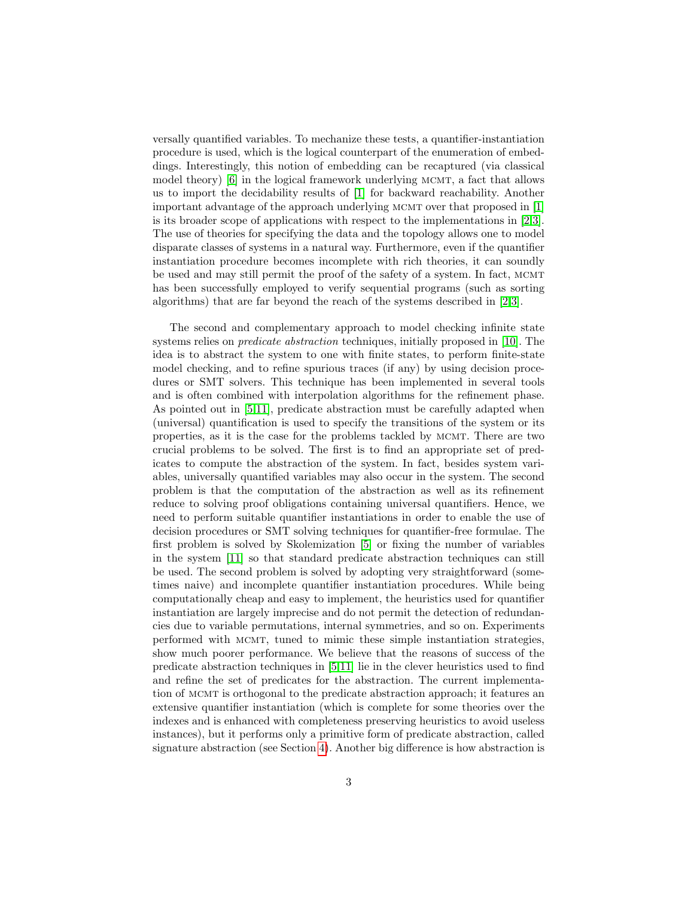versally quantified variables. To mechanize these tests, a quantifier-instantiation procedure is used, which is the logical counterpart of the enumeration of embeddings. Interestingly, this notion of embedding can be recaptured (via classical model theory) [\[6\]](#page-7-0) in the logical framework underlying mcmt, a fact that allows us to import the decidability results of [\[1\]](#page-7-3) for backward reachability. Another important advantage of the approach underlying MCMT over that proposed in [\[1\]](#page-7-3) is its broader scope of applications with respect to the implementations in  $[2,3]$  $[2,3]$ . The use of theories for specifying the data and the topology allows one to model disparate classes of systems in a natural way. Furthermore, even if the quantifier instantiation procedure becomes incomplete with rich theories, it can soundly be used and may still permit the proof of the safety of a system. In fact, MCMT has been successfully employed to verify sequential programs (such as sorting algorithms) that are far beyond the reach of the systems described in [\[2](#page-7-6)[,3\]](#page-7-7).

The second and complementary approach to model checking infinite state systems relies on *predicate abstraction* techniques, initially proposed in [\[10\]](#page-7-8). The idea is to abstract the system to one with finite states, to perform finite-state model checking, and to refine spurious traces (if any) by using decision procedures or SMT solvers. This technique has been implemented in several tools and is often combined with interpolation algorithms for the refinement phase. As pointed out in [\[5,](#page-7-9)[11\]](#page-7-10), predicate abstraction must be carefully adapted when (universal) quantification is used to specify the transitions of the system or its properties, as it is the case for the problems tackled by mcmt. There are two crucial problems to be solved. The first is to find an appropriate set of predicates to compute the abstraction of the system. In fact, besides system variables, universally quantified variables may also occur in the system. The second problem is that the computation of the abstraction as well as its refinement reduce to solving proof obligations containing universal quantifiers. Hence, we need to perform suitable quantifier instantiations in order to enable the use of decision procedures or SMT solving techniques for quantifier-free formulae. The first problem is solved by Skolemization [\[5\]](#page-7-9) or fixing the number of variables in the system [\[11\]](#page-7-10) so that standard predicate abstraction techniques can still be used. The second problem is solved by adopting very straightforward (sometimes naive) and incomplete quantifier instantiation procedures. While being computationally cheap and easy to implement, the heuristics used for quantifier instantiation are largely imprecise and do not permit the detection of redundancies due to variable permutations, internal symmetries, and so on. Experiments performed with mcmt, tuned to mimic these simple instantiation strategies, show much poorer performance. We believe that the reasons of success of the predicate abstraction techniques in [\[5](#page-7-9)[,11\]](#page-7-10) lie in the clever heuristics used to find and refine the set of predicates for the abstraction. The current implementation of mcmt is orthogonal to the predicate abstraction approach; it features an extensive quantifier instantiation (which is complete for some theories over the indexes and is enhanced with completeness preserving heuristics to avoid useless instances), but it performs only a primitive form of predicate abstraction, called signature abstraction (see Section [4\)](#page-4-0). Another big difference is how abstraction is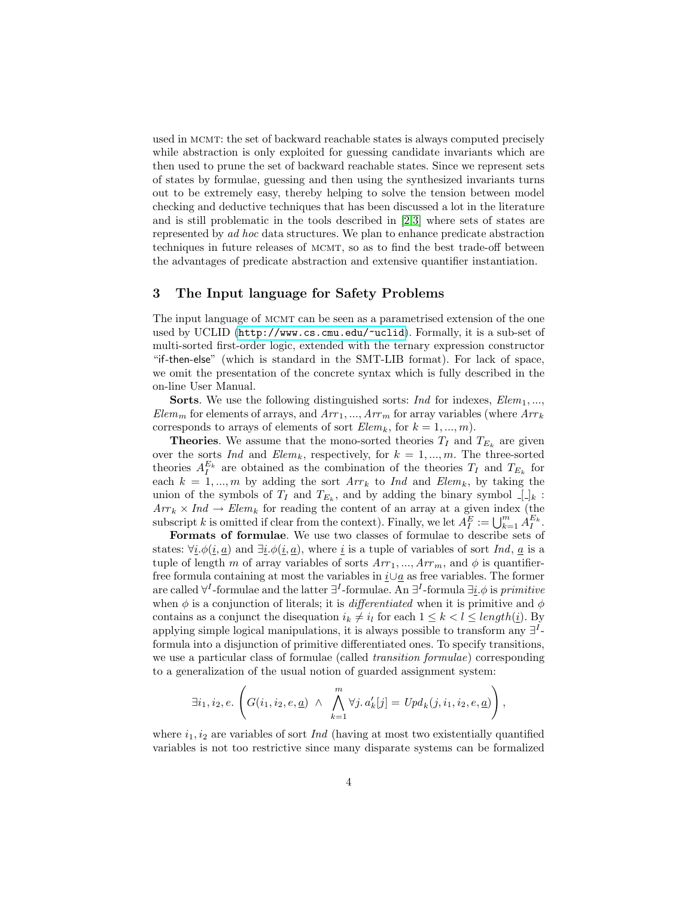used in mcmt: the set of backward reachable states is always computed precisely while abstraction is only exploited for guessing candidate invariants which are then used to prune the set of backward reachable states. Since we represent sets of states by formulae, guessing and then using the synthesized invariants turns out to be extremely easy, thereby helping to solve the tension between model checking and deductive techniques that has been discussed a lot in the literature and is still problematic in the tools described in [\[2,](#page-7-6)[3\]](#page-7-7) where sets of states are represented by ad hoc data structures. We plan to enhance predicate abstraction techniques in future releases of mcmt, so as to find the best trade-off between the advantages of predicate abstraction and extensive quantifier instantiation.

## 3 The Input language for Safety Problems

The input language of MCMT can be seen as a parametrised extension of the one used by UCLID (<http://www.cs.cmu.edu/~uclid>). Formally, it is a sub-set of multi-sorted first-order logic, extended with the ternary expression constructor "if-then-else" (which is standard in the SMT-LIB format). For lack of space, we omit the presentation of the concrete syntax which is fully described in the on-line User Manual.

**Sorts.** We use the following distinguished sorts: Ind for indexes,  $Elem_1, ...,$  $Elem_m$  for elements of arrays, and  $Arr_1$ , ...,  $Arr_m$  for array variables (where  $Arr_k$ corresponds to arrays of elements of sort  $Elem_k$ , for  $k = 1, ..., m$ ).

**Theories**. We assume that the mono-sorted theories  $T_I$  and  $T_{E_k}$  are given over the sorts Ind and Elem<sub>k</sub>, respectively, for  $k = 1, ..., m$ . The three-sorted theories  $A_I^{E_k}$  are obtained as the combination of the theories  $T_I$  and  $T_{E_k}$  for each  $k = 1, ..., m$  by adding the sort  $Arr_k$  to Ind and  $Elem_k$ , by taking the union of the symbols of  $T_I$  and  $T_{E_k}$ , and by adding the binary symbol  $\Box \Box_k$ :  $Arr_k \times Ind \rightarrow Element_k$  for reading the content of an array at a given index (the subscript k is omitted if clear from the context). Finally, we let  $A_I^E := \bigcup_{k=1}^m A_I^{E_k}$ .

Formats of formulae. We use two classes of formulae to describe sets of states:  $\forall i.\phi(i, a)$  and  $\exists i.\phi(i, a)$ , where i is a tuple of variables of sort Ind, a is a tuple of length m of array variables of sorts  $Arr_1$ , ...,  $Arr_m$ , and  $\phi$  is quantifierfree formula containing at most the variables in  $i∪a$  as free variables. The former are called  $\forall^{I}$ -formulae and the latter  $\exists^{I}$ -formulae. An  $\exists^{I}$ -formula  $\exists \underline{i}.\phi$  is primitive when  $\phi$  is a conjunction of literals; it is *differentiated* when it is primitive and  $\phi$ contains as a conjunct the disequation  $i_k \neq i_l$  for each  $1 \leq k < l \leq length(i)$ . By applying simple logical manipulations, it is always possible to transform any  $\exists^{I}$ formula into a disjunction of primitive differentiated ones. To specify transitions, we use a particular class of formulae (called transition formulae) corresponding to a generalization of the usual notion of guarded assignment system:

$$
\exists i_1, i_2, e. \left( G(i_1, i_2, e, \underline{a}) \ \wedge \ \bigwedge_{k=1}^m \forall j. \ a'_k[j] = \mathit{Upd}_k(j, i_1, i_2, e, \underline{a}) \right),
$$

where  $i_1, i_2$  are variables of sort  $Ind$  (having at most two existentially quantified variables is not too restrictive since many disparate systems can be formalized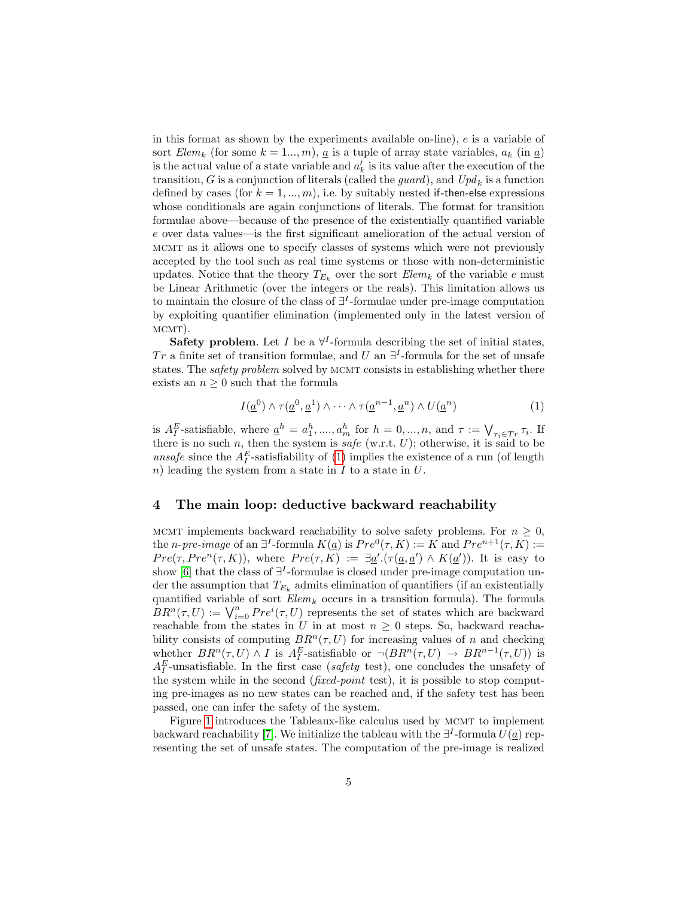in this format as shown by the experiments available on-line), e is a variable of sort Elem<sub>k</sub> (for some  $k = 1..., m$ ), <u>a</u> is a tuple of array state variables,  $a_k$  (in <u>a</u>) is the actual value of a state variable and  $a'_k$  is its value after the execution of the transition, G is a conjunction of literals (called the *guard*), and  $Upd_k$  is a function defined by cases (for  $k = 1, ..., m$ ), i.e. by suitably nested if-then-else expressions whose conditionals are again conjunctions of literals. The format for transition formulae above—because of the presence of the existentially quantified variable e over data values—is the first significant amelioration of the actual version of mcmt as it allows one to specify classes of systems which were not previously accepted by the tool such as real time systems or those with non-deterministic updates. Notice that the theory  $T_{E_k}$  over the sort  $Elem_k$  of the variable e must be Linear Arithmetic (over the integers or the reals). This limitation allows us to maintain the closure of the class of  $\exists^{I}$ -formulae under pre-image computation by exploiting quantifier elimination (implemented only in the latest version of  $MCMT$ ).

Safety problem. Let I be a  $\forall^{I}$ -formula describing the set of initial states, Tr a finite set of transition formulae, and U an  $\exists^{I}$ -formula for the set of unsafe states. The *safety problem* solved by MCMT consists in establishing whether there exists an  $n \geq 0$  such that the formula

<span id="page-4-1"></span>
$$
I(\underline{a}^0) \wedge \tau(\underline{a}^0, \underline{a}^1) \wedge \cdots \wedge \tau(\underline{a}^{n-1}, \underline{a}^n) \wedge U(\underline{a}^n)
$$
 (1)

is  $A_I^E$ -satisfiable, where  $\underline{a}^h = a_1^h, ..., a_m^h$  for  $h = 0, ..., n$ , and  $\tau := \bigvee_{\tau_i \in Tr} \tau_i$ . If there is no such n, then the system is safe (w.r.t.  $U$ ); otherwise, it is said to be *unsafe* since the  $A_I^E$ -satisfiability of [\(1\)](#page-4-1) implies the existence of a run (of length n) leading the system from a state in  $I$  to a state in  $U$ .

#### <span id="page-4-0"></span>4 The main loop: deductive backward reachability

MCMT implements backward reachability to solve safety problems. For  $n \geq 0$ , the *n-pre-image* of an  $\exists^{I}$ -formula  $K(\underline{a})$  is  $Pre^{0}(\tau,K) := K$  and  $Pre^{n+1}(\tau,K) :=$  $Pre(\tau, Pre^n(\tau, K))$ , where  $Pre(\tau, K) := \exists \underline{a}'.(\tau(\underline{a}, \underline{a}') \wedge K(\underline{a}'))$ . It is easy to show [\[6\]](#page-7-0) that the class of  $\exists^{I}$ -formulae is closed under pre-image computation under the assumption that  $T_{E_k}$  admits elimination of quantifiers (if an existentially quantified variable of sort  $Elem_k$  occurs in a transition formula). The formula  $BR^n(\tau, U) := \bigvee_{i=0}^n Pre^i(\tau, U)$  represents the set of states which are backward reachable from the states in U in at most  $n \geq 0$  steps. So, backward reachability consists of computing  $BR^n(\tau, U)$  for increasing values of n and checking whether  $BR^n(\tau, U) \wedge I$  is  $A_I^E$ -satisfiable or  $\neg(BR^n(\tau, U) \rightarrow BR^{n-1}(\tau, U))$  is  $A_I^E$ -unsatisfiable. In the first case (*safety* test), one concludes the unsafety of the system while in the second (*fixed-point* test), it is possible to stop computing pre-images as no new states can be reached and, if the safety test has been passed, one can infer the safety of the system.

Figure [1](#page-5-0) introduces the Tableaux-like calculus used by mcmt to implement backward reachability [\[7\]](#page-7-4). We initialize the tableau with the  $\exists^{I}$ -formula  $U(\underline{a})$  representing the set of unsafe states. The computation of the pre-image is realized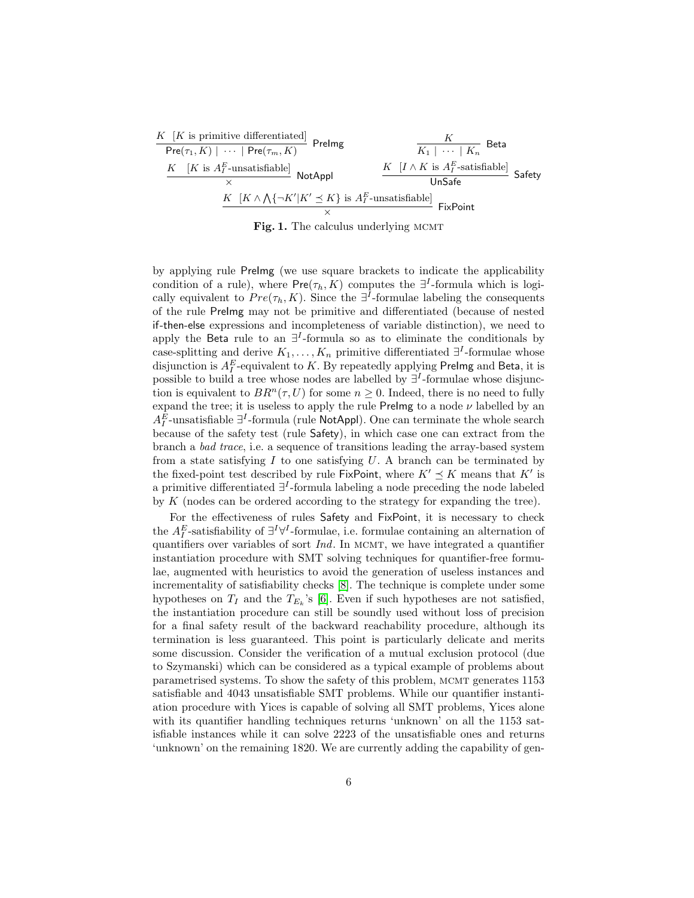| $\frac{K [K \text{ is primitive differentiated}]}{\text{Pre}(\tau_1, K)   \cdots   \text{Pre}(\tau_m, K)}$ Prelmg                                                                                                                                                                                                                  | $\begin{array}{c c} & K & \overline{K_1 \mid \, \cdots \mid K_n} \end{array}$ Beta                      |  |  |  |  |  |  |  |
|------------------------------------------------------------------------------------------------------------------------------------------------------------------------------------------------------------------------------------------------------------------------------------------------------------------------------------|---------------------------------------------------------------------------------------------------------|--|--|--|--|--|--|--|
| $K$ [ <i>K</i> is $A_I^E$ -unsatisfiable] NotAppl                                                                                                                                                                                                                                                                                  | $\frac{K \left[ I \wedge K \text{ is } A_I^E\text{-satisfiable} \right]}{\text{UnSafe}} \text{ Safety}$ |  |  |  |  |  |  |  |
| $K \left[ K \wedge \bigwedge \{\underline{\neg K'   K' \preceq K} \} \text{ is } A_I^E\text{-unsatisfiable} \right]$ FixPoint                                                                                                                                                                                                      |                                                                                                         |  |  |  |  |  |  |  |
|                                                                                                                                                                                                                                                                                                                                    |                                                                                                         |  |  |  |  |  |  |  |
| $\mathbf{E}$ $\mathbf{E}$ $\mathbf{E}$ $\mathbf{E}$ $\mathbf{E}$ $\mathbf{E}$ $\mathbf{E}$ $\mathbf{E}$ $\mathbf{E}$ $\mathbf{E}$ $\mathbf{E}$ $\mathbf{E}$ $\mathbf{E}$ $\mathbf{E}$ $\mathbf{E}$ $\mathbf{E}$ $\mathbf{E}$ $\mathbf{E}$ $\mathbf{E}$ $\mathbf{E}$ $\mathbf{E}$ $\mathbf{E}$ $\mathbf{E}$ $\mathbf{E}$ $\mathbf{$ |                                                                                                         |  |  |  |  |  |  |  |

<span id="page-5-0"></span>Fig. 1. The calculus underlying MCMT

by applying rule PreImg (we use square brackets to indicate the applicability condition of a rule), where  $\mathsf{Pre}(\tau_h,K)$  computes the  $\exists^I$ -formula which is logically equivalent to  $Pre(\tau_h, K)$ . Since the  $\exists^I$ -formulae labeling the consequents of the rule PreImg may not be primitive and differentiated (because of nested if-then-else expressions and incompleteness of variable distinction), we need to apply the Beta rule to an  $\exists^{I}$ -formula so as to eliminate the conditionals by case-splitting and derive  $K_1, \ldots, K_n$  primitive differentiated  $\exists^I$ -formulae whose disjunction is  $A_I^E$ -equivalent to K. By repeatedly applying Prelmg and Beta, it is possible to build a tree whose nodes are labelled by  $\exists^{I}$ -formulae whose disjunction is equivalent to  $BR^n(\tau, U)$  for some  $n \geq 0$ . Indeed, there is no need to fully expand the tree; it is useless to apply the rule Prelmg to a node  $\nu$  labelled by an  $A_I^E$ -unsatisfiable ∃<sup>*I*</sup>-formula (rule NotAppl). One can terminate the whole search because of the safety test (rule Safety), in which case one can extract from the branch a bad trace, i.e. a sequence of transitions leading the array-based system from a state satisfying  $I$  to one satisfying  $U$ . A branch can be terminated by the fixed-point test described by rule FixPoint, where  $K' \preceq K$  means that K' is a primitive differentiated  $\exists^{I}$ -formula labeling a node preceding the node labeled by  $K$  (nodes can be ordered according to the strategy for expanding the tree).

For the effectiveness of rules Safety and FixPoint, it is necessary to check the  $A_I^E$ -satisfiability of  $\exists^I \forall^I$ -formulae, i.e. formulae containing an alternation of quantifiers over variables of sort  $Ind.$  In MCMT, we have integrated a quantifier instantiation procedure with SMT solving techniques for quantifier-free formulae, augmented with heuristics to avoid the generation of useless instances and incrementality of satisfiability checks [\[8\]](#page-7-1). The technique is complete under some hypotheses on  $T_I$  and the  $T_{E_k}$ 's [\[6\]](#page-7-0). Even if such hypotheses are not satisfied, the instantiation procedure can still be soundly used without loss of precision for a final safety result of the backward reachability procedure, although its termination is less guaranteed. This point is particularly delicate and merits some discussion. Consider the verification of a mutual exclusion protocol (due to Szymanski) which can be considered as a typical example of problems about parametrised systems. To show the safety of this problem, MCMT generates  $1153$ satisfiable and 4043 unsatisfiable SMT problems. While our quantifier instantiation procedure with Yices is capable of solving all SMT problems, Yices alone with its quantifier handling techniques returns 'unknown' on all the 1153 satisfiable instances while it can solve 2223 of the unsatisfiable ones and returns 'unknown' on the remaining 1820. We are currently adding the capability of gen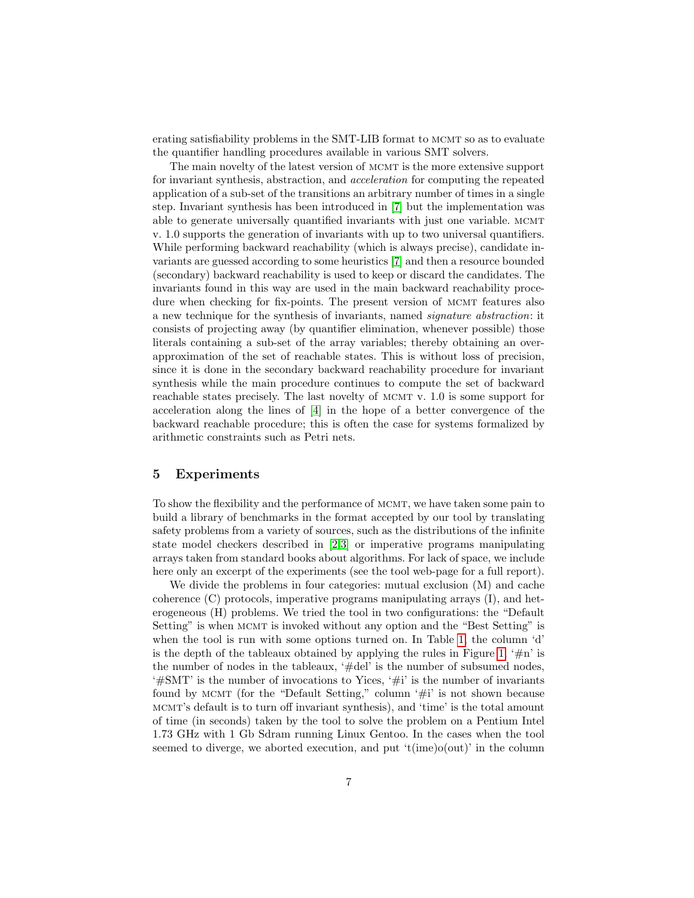erating satisfiability problems in the SMT-LIB format to MCMT so as to evaluate the quantifier handling procedures available in various SMT solvers.

The main novelty of the latest version of MCMT is the more extensive support for invariant synthesis, abstraction, and acceleration for computing the repeated application of a sub-set of the transitions an arbitrary number of times in a single step. Invariant synthesis has been introduced in [\[7\]](#page-7-4) but the implementation was able to generate universally quantified invariants with just one variable. mcmt v. 1.0 supports the generation of invariants with up to two universal quantifiers. While performing backward reachability (which is always precise), candidate invariants are guessed according to some heuristics [\[7\]](#page-7-4) and then a resource bounded (secondary) backward reachability is used to keep or discard the candidates. The invariants found in this way are used in the main backward reachability procedure when checking for fix-points. The present version of MCMT features also a new technique for the synthesis of invariants, named signature abstraction: it consists of projecting away (by quantifier elimination, whenever possible) those literals containing a sub-set of the array variables; thereby obtaining an overapproximation of the set of reachable states. This is without loss of precision, since it is done in the secondary backward reachability procedure for invariant synthesis while the main procedure continues to compute the set of backward reachable states precisely. The last novelty of MCMT v. 1.0 is some support for acceleration along the lines of [\[4\]](#page-7-5) in the hope of a better convergence of the backward reachable procedure; this is often the case for systems formalized by arithmetic constraints such as Petri nets.

## 5 Experiments

To show the flexibility and the performance of MCMT, we have taken some pain to build a library of benchmarks in the format accepted by our tool by translating safety problems from a variety of sources, such as the distributions of the infinite state model checkers described in [\[2,](#page-7-6)[3\]](#page-7-7) or imperative programs manipulating arrays taken from standard books about algorithms. For lack of space, we include here only an excerpt of the experiments (see the tool web-page for a full report).

We divide the problems in four categories: mutual exclusion (M) and cache coherence (C) protocols, imperative programs manipulating arrays (I), and heterogeneous (H) problems. We tried the tool in two configurations: the "Default Setting" is when MCMT is invoked without any option and the "Best Setting" is when the tool is run with some options turned on. In Table [1,](#page-7-11) the column 'd' is the depth of the tableaux obtained by applying the rules in Figure [1,](#page-5-0)  $\#n$  is the number of nodes in the tableaux, '#del' is the number of subsumed nodes, ' $#SMT'$  is the number of invocations to Yices, ' $#i$ ' is the number of invariants found by mcmt (for the "Default Setting," column '#i' is not shown because mcmt's default is to turn off invariant synthesis), and 'time' is the total amount of time (in seconds) taken by the tool to solve the problem on a Pentium Intel 1.73 GHz with 1 Gb Sdram running Linux Gentoo. In the cases when the tool seemed to diverge, we aborted execution, and put  $'(time)$ <sub>o</sub>(out)' in the column